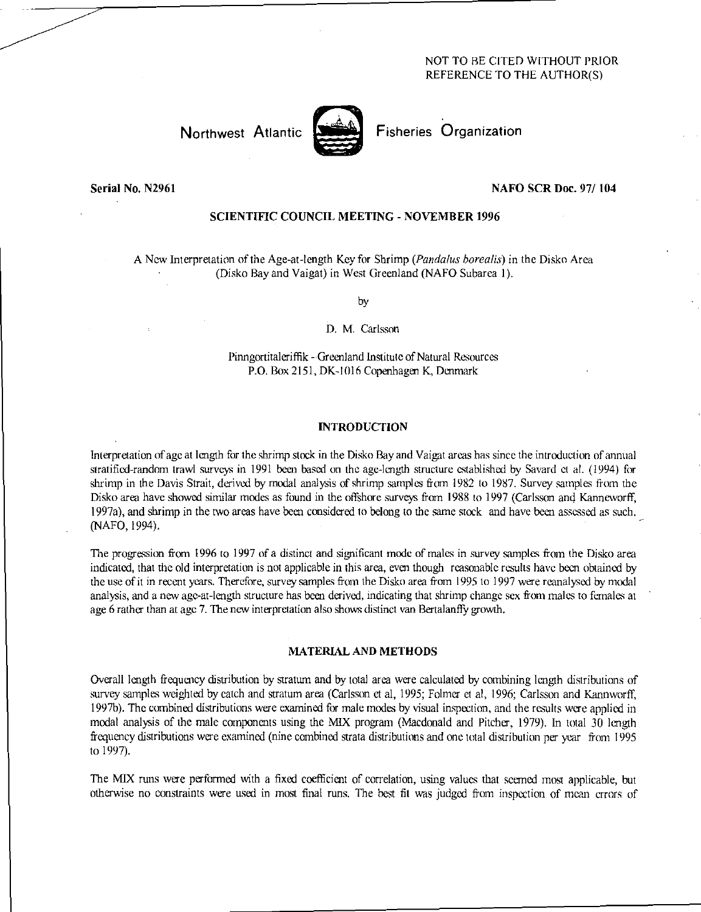# NOT TO BE CITED WITHOUT PRIOR REFERENCE TO THE AUTHOR(S)



Northwest Atlantic Fisheries Organization

# Serial No. N2961 NAFO SCR Doc. 97/ 104

# SCIENTIFIC COUNCIL MEETING - NOVEMBER 1996

A New Interpretation of the Age-at-length Key for Shrimp *(Panda/us borealis)* in the Disko Area (Disko Bay and Vaigat) in West Greenland (NAFO Subarea 1).

by

## D. M. Carlsson

Pinngortitaleriffik - Greenland Institute of Natural Resources P.O. Box 2151, DK-1016 Copenhagen K, Denmark

## INTRODUCTION

Interpretation of age at length for the shrimp stock in the Disko Bay and Vaigat areas has since the introduction of annual stratified-random trawl surveys in 1991 been based on the age-length structure established by Savard et al. (1994) for shrimp in the Davis Strait, derived by modal analysis of shrimp samples from 1982 to 1987. Survey samples from the Disko area have showed similar modes as found in the offshore surveys from 1988 to 1997 (Carlsson and Kanncworff, 1997a), and shrimp in the two areas have been considered to belong to the same stock and have been assessed as such. (NAFO, 1994).

The progression from 1996 to 1997 of a distinct and significant mode of males in survey samples from the Disko area indicated, that the old interpretation is not applicable in this area, even though reasonable results have been obtained by the use of it in recent years. Therefore, survey samples from the Disko area from 1995 to 1997 were reanalysed by modal analysis, and a new age-at-length structure has been derived, indicating that shrimp change sex from males to females at age 6 rather than at age 7. The new interpretation also shows distinct van Bertalanffy growth.

### MATERIAL AND METHODS

Overall length frequency distribution by stratum and by total area were calculated by combining length distributions of survey samples weighted by catch and stratum area (Carlsson et al, 1995; Folmer et al, 1996; Carlsson and Kannworff, 1997b). The combined distributions were examined for male modes by visual inspection, and the results were applied in modal analysis of the male components using the MIX program (Macdonald and Pitcher, 1979). In total 30 length frequency distributions were examined (nine combined strata distributions and one total distribution per year from 1995 to 1997).

The MIX runs were performed with a fixed coefficient of correlation, using values that seemed most applicable, but otherwise no constraints were used in most final runs. The best fit was judged from inspection of mean errors of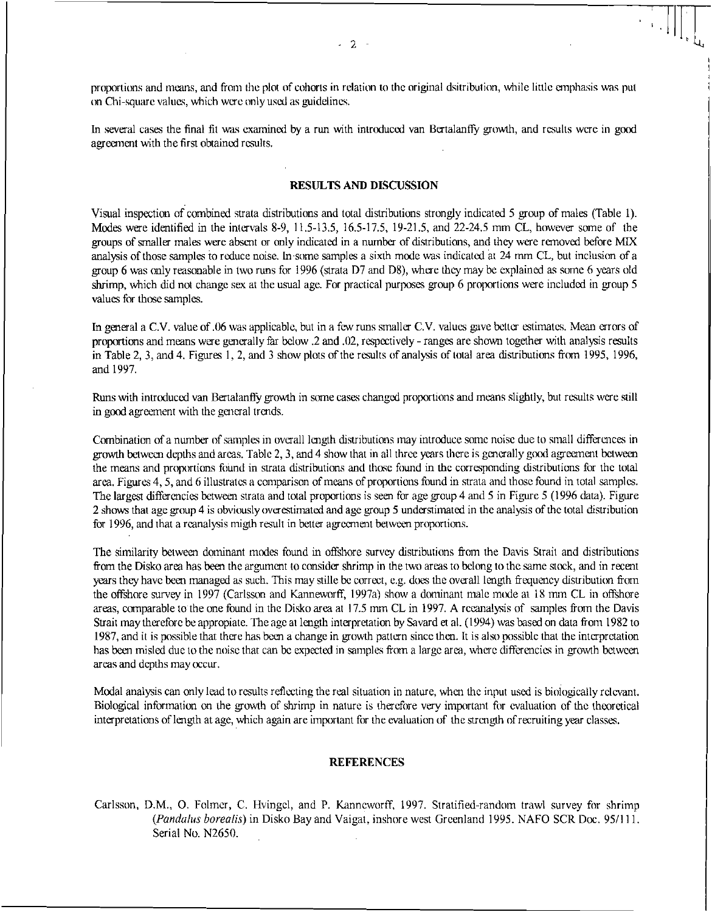proportions and means, and from the plot of cohorts in relation to the original dsitribution, while little emphasis was put on Chi-square values, which were only usal as guidelines.

In several cases the final fit was examined by a run with introduced van Bertalanffy growth, and results were in good agreement with the first obtained results.

#### RESULTS AND DISCUSSION

Visual inspection of combined strata distributions and total distributions strongly indicated 5 group of males (Table 1). Modes were identified in the intervals 8-9, 11.5-13.5, 16.5-17.5, 19-21.5, and 22-24.5 mm CL, however some of the groups of smaller males were absent or only indicated in a number of distributions, and they were removed before MIX analysis of those samples to reduce noise. In some samples a sixth mode was indicated at 24 mm CL, but inclusion of a group 6 was only reasonable in two runs for 1996 (strata D7 and D8), where they may be explained as some 6 years old shrimp, which did not change sex at the usual age. For practical purposes group 6 proportions were included in group 5 values for those samples.

In general a C.V. value of .06 was applicable, but in a few runs smaller C.V. values gave better estimates. Mean errors of proportions and means were generally far below .2 and .02, respectively - ranges are shown together with analysis results in Table 2, 3, and 4. Figures 1, 2, and 3 show plots of the results of analysis of total area distributions from 1995, 1996, and 1997.

Runs with introduced van Bertalanffy growth in some cases changed proportions and means slightly, but results were still in good agreement with the general trends.

Combination of a number of samples in overall length distributions may introduce some noise due to small differences in growth between depths and areas. Table 2, 3, and 4 show that in all three years there is generally good agreement between the means and proportions finnd in strata distributions and those found in the corresponding distributions for the total area. Figures 4, 5, and 6 illustrates a comparison of means of proportions found in strata and those found in total samples. The largest differencies between strata and total proportions is seen for age group 4 and 5 in Figure 5 (1996 data). Figure 2 shows that age group 4 is obviously overestimated and age group 5 understimated in the analysis of the total distribution for 1996, and that a reanalysis migth result in better agreement between proportions.

The similarity between dominant modes found in offshore survey distributions from the Davis Strait and distributions from the Disko area has been the argument to consider shrimp in the two areas to belong to the same stock, and in recent years they have been managed as such. This may stille be correct, e.g. does the overall length frequency distribution from the offshore survey in 1997 (Carlsson and Karmeworff, 1997a) show a dominant male mode at 18 nun CL in offshore areas, comparable to the one found in the Disko area at 17.5 mm CL in 1997. A reeanalysis of samples from the Davis Strait may therefore be appropiate. The age at length interpretation by Savard et al. (1994) was based on data from 1982 to 1987, and it is possible that there has been a change in growth pattern since then. It is also possible that the interpretation has been misled due to the noise that can be expected in samples from a large area, where differencies in growth between areas and depths may occur.

Modal analysis can only lead to results reflecting the real situation in nature, when the input used is biologically relevant. Biological information on the growth of shrimp in nature is therefore very important fir evaluation of the theoretical interpretations of length at age, which again are important for the evaluation of the strength of recruiting year classes.

### **REFERENCES**

Carlsson, D.M., 0. Folmer, C. Hvingcl, and P. Kanneworff, 1997. Stratified-random trawl survey for shrimp *(Pandalus borealis) in Disko* Bay and Vaigat, inshore west Greenland 1995. NAFO SCR Doc. 95/111. Serial No. N2650.

1: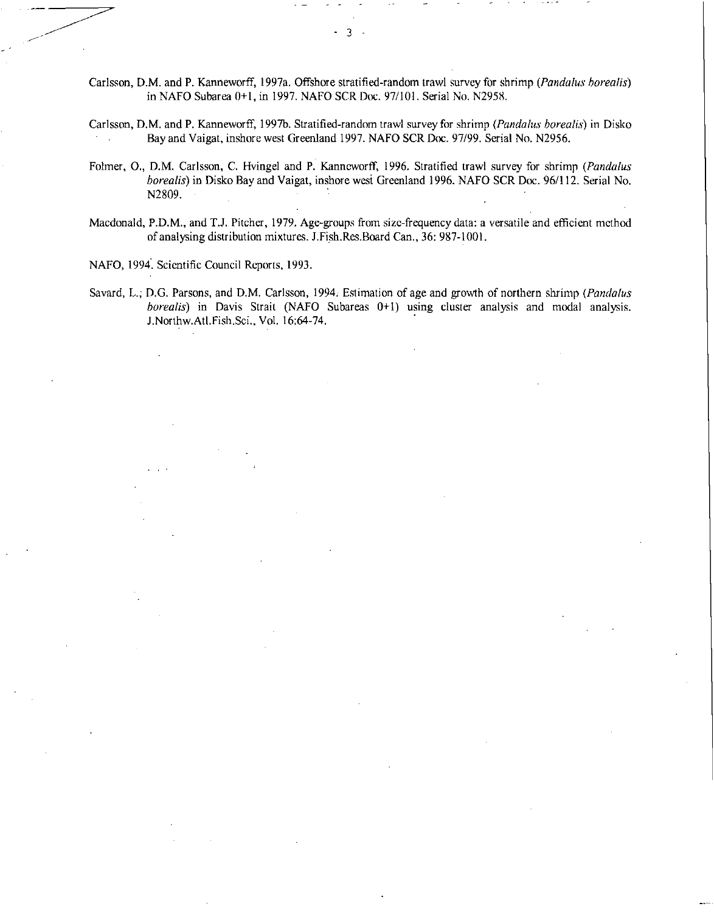- Carlsson, D.M. and P. Kanneworff, 1997a. Offshore stratified-random trawl survey for shrimp *(Pandalus borealis)*  in NAFO Subarea 0+1, in 1997. NAFO SCR Doc. 97/101. Serial No. N2958.
- Carlsson, D.M. and P. Kanneworff, 1997b. Stratified-random trawl survey for shrimp *(Pandalus borealis)* in Disko Bay and Vaigat, inshore west Greenland 1997. NAFO SCR Doc. 97/99. Serial No. N2956.
- Folmer, 0., D.M. Carlsson, C. Hvingel and P. Kanneworff, 1996. Stratified trawl survey for shrimp *(Pandalus borealis)* in Disko Bay and Vaigat, inshore west Greenland 1996. NAFO SCR Doc. 96/112. Serial No. N2809.
- Macdonald, P.D.M., and T.J. Pitcher, 1979. Age-groups from size-frequency data: a versatile and efficient method of analysing distribution mixtures. J.Fish.Res.Board Can., 36: 987-1001.

NAFO, 1994. Scientific Council Reports, 1993.

Savard, L. D.G. Parsons, and D.M. Carlsson, 1994. Estimation of age and growth of northern shrimp *(Pandalus borealis)* in Davis Strait (NAFO Subareas 0+1) using cluster analysis and modal analysis. J.Northw.Atl.Fish.Sci., Vol. 16:64-74.

3  $\Delta \phi$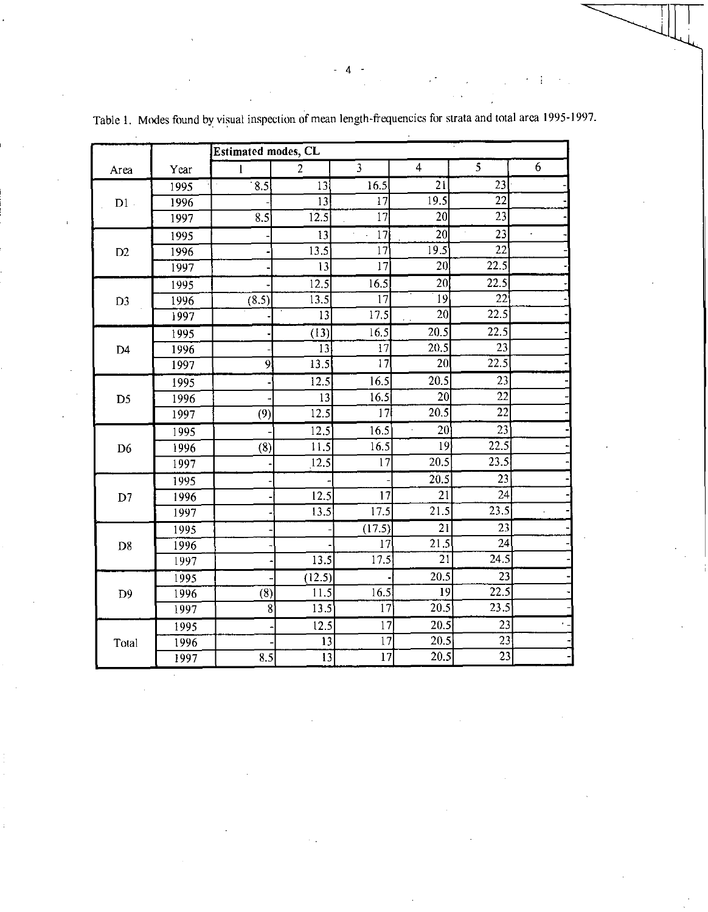|                |      | <b>Estimated modes, CL</b> |                   |                 |                                |                         |   |
|----------------|------|----------------------------|-------------------|-----------------|--------------------------------|-------------------------|---|
| Area           | Year | $\mathbf{I}$               | $\overline{2}$    | $\overline{3}$  | $\overline{4}$                 | $\overline{\mathbf{s}}$ | 6 |
|                | 1995 | $\overline{8.5}$           | 13                | 16.5            | 21                             | 23                      |   |
| $D1$ .         | 1996 |                            | 13                | 17              | 19.5                           | 22                      |   |
|                | 1997 | 8.5                        | 12.5              | $\overline{17}$ | $\overline{20}$                | $\overline{23}$         |   |
|                | 1995 |                            | 13                | 17              | 20                             | 23                      |   |
| D2             | 1996 |                            | 13.5              | $\overline{17}$ | 19.5                           | 22                      |   |
|                | 1997 |                            | 13                | 17              | 20                             | 22.5                    |   |
|                | 1995 |                            | 12.5              | 16.5            | 20 <sup>1</sup>                | 22.5                    |   |
| D <sub>3</sub> | 1996 | (8.5)                      | 13.5              | 17              | 19                             | 22                      |   |
|                | 1997 |                            | $\overline{13}$   | 17.5            | 20 <sup>2</sup>                | 22.5                    |   |
|                | 1995 |                            | (13)              | 16.5            | 20.5                           | 22.5                    |   |
| D <sub>4</sub> | 1996 |                            | 13                | 17              | 20.5                           | 23                      |   |
|                | 1997 | 9                          | 13.5              | $\overline{17}$ | 20                             | 22.5                    |   |
|                | 1995 |                            | $\overline{12.5}$ | 16.5            | 20.5                           | 23                      |   |
| D <sub>5</sub> | 1996 |                            | 13                | 16.5            | 20                             | $\overline{22}$         |   |
|                | 1997 | (9)                        | 12.5              | 17 <sup>1</sup> | 20.5                           | $\overline{22}$         |   |
|                | 1995 |                            | 12.5              | 16.5            | $\overline{\phantom{a}}$<br>20 | 23                      |   |
| D <sub>6</sub> | 1996 | (8)                        | 11.5              | 16.5            | 19 <sup>1</sup>                | 22.5                    |   |
|                | 1997 |                            | 12.5              | 17              | 20.5                           | 23.5                    |   |
|                | 1995 |                            |                   |                 | 20.5                           | $\overline{23}$         |   |
| D7             | 1996 |                            | 12.5              | 17              | 21                             | 24                      |   |
|                | 1997 |                            | 13.5              | 17.5            | 21.5                           | 23.5                    |   |
|                | 1995 |                            |                   | (17.5)          | 21                             | 23                      |   |
| D <sub>8</sub> | 1996 |                            |                   | $\overline{17}$ | $\overline{21.5}$              | 24                      |   |
|                | 1997 |                            | 13.5              | 17.5            | $2\overline{1}$                | 24.5                    |   |
|                | 1995 |                            | (12.5)            |                 | 20.5                           | 23                      |   |
| D <sup>9</sup> | 1996 | (8)                        | 11.5              | 16.5            | 19                             | 22.5                    |   |
|                | 1997 | 8                          | 13.5              | 17              | 20.5                           | 23.5                    |   |
|                | 1995 |                            | 12.5              | 17              | 20.5                           | 23                      |   |
| Total          | 1996 |                            | 13                | $\overline{17}$ | 20.5                           | 23                      |   |
|                | 1997 | 8.5                        | $\overline{13}$   | $\overline{17}$ | 20.5                           | $\overline{23}$         |   |

Table 1. Modes found by visual inspection of mean length-frequencies for strata and total area 1995-1997.

- 4

ţ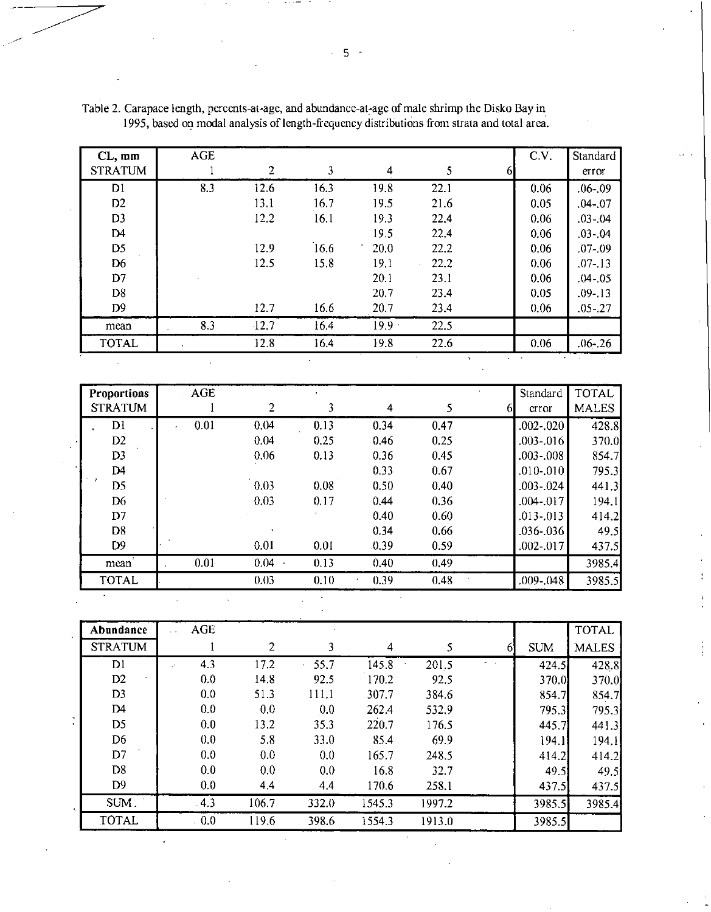| $CL, \, mm$    | AGE |              |      |          |      |   | C.V. | Standard    |
|----------------|-----|--------------|------|----------|------|---|------|-------------|
| <b>STRATUM</b> |     | $\mathbf{2}$ | 3    | 4        | 5    | 6 |      | error       |
| D1             | 8.3 | 12.6         | 16.3 | 19.8     | 22.1 |   | 0.06 | $.06 - .09$ |
| D2             |     | 13.1         | 16.7 | 19.5     | 21.6 |   | 0.05 | $.04 - 07$  |
| D <sub>3</sub> |     | 12.2         | 16.1 | 19.3     | 22.4 |   | 0.06 | $.03 - .04$ |
| D4             |     |              |      | 19.5     | 22.4 |   | 0.06 | $.03 - 04$  |
| D <sub>5</sub> |     | 12.9         | 16.6 | 20.0     | 22.2 |   | 0.06 | $.07 - .09$ |
| D <sub>6</sub> |     | 12.5         | 15.8 | 19.1     | 22.2 |   | 0.06 | $.07 - 13$  |
| D7             |     |              |      | 20.1     | 23.1 |   | 0.06 | $.04 - 05$  |
| D <sub>8</sub> |     |              |      | 20.7     | 23.4 |   | 0.05 | $.09 - 13$  |
| D <sub>9</sub> |     | 12.7         | 16.6 | 20.7     | 23.4 |   | 0.06 | $.05 - 27$  |
| mean           | 8.3 | $-12.7$      | 16.4 | $19.9 -$ | 22.5 |   |      |             |
| <b>TOTAL</b>   |     | 12.8         | 16.4 | 19.8     | 22.6 |   | 0.06 | $.06 - 26$  |

Table 2. Carapace length, percents-at-age, and abundance-at-age of male shrimp the Disko Bay in 1995, based on modal analysis of length-frequency distributions from strata and total area.

| <b>Proportions</b> | AGE      |      |      |      |      |    | Standard      | <b>TOTAL</b> |
|--------------------|----------|------|------|------|------|----|---------------|--------------|
| <b>STRATUM</b>     |          | 2    | 3    | 4    | 5.   | nı | crror         | <b>MALES</b> |
| Dl                 | 0.01     | 0.04 | 0.13 | 0.34 | 0.47 |    | .002-.020     | 428.8        |
| D2                 |          | 0.04 | 0.25 | 0.46 | 0.25 |    | .003-.016     | 370.0        |
| D <sub>3</sub>     |          | 0.06 | 0.13 | 0.36 | 0.45 |    | .003-.008     | 854.7        |
| D <sub>4</sub>     |          |      |      | 0.33 | 0.67 |    | .010-.010     | 795.3        |
| D5                 |          | 0.03 | 0.08 | 0.50 | 0.40 |    | $.003 - .024$ | 441.3        |
| D <sub>6</sub>     |          | 0.03 | 0.17 | 0.44 | 0.36 |    | .004-.017     | 194.1        |
| D7                 |          |      |      | 0.40 | 0.60 |    | $.013 - .013$ | 414.2        |
| D <sub>8</sub>     |          |      |      | 0.34 | 0.66 |    | .036-.0361    | 49.5         |
| D <sub>9</sub>     |          | 0.01 | 0.01 | 0.39 | 0.59 |    | .002-.017     | 437.5        |
| mean               | $0.01 -$ | 0.04 | 0.13 | 0.40 | 0.49 |    |               | 3985.4       |
| <b>TOTAL</b>       |          | 0.03 | 0.10 | 0.39 | 0.48 |    | .009-.048     | 3985.5       |

|            | Abundance      | <b>AGE</b> |       |           |        |        |    |            | <b>TOTAL</b> |
|------------|----------------|------------|-------|-----------|--------|--------|----|------------|--------------|
|            | <b>STRATUM</b> |            | 2     | 3         | 4      |        | 61 | <b>SUM</b> | <b>MALES</b> |
|            | D1             | 4.3        | 17.2  | 55.7<br>٠ | 145.8  | 201.5  |    | 424.5      | 428.8        |
|            | D <sub>2</sub> | 0.0        | 14.8  | 92.5      | 170.2  | 92.5   |    | 370.0      | 370.0        |
|            | D <sub>3</sub> | 0.0        | 51.3  | 111.1     | 307.7  | 384.6  |    | 854.7      | 854.7        |
|            | D <sub>4</sub> | 0.0        | 0.0   | 0.0       | 262.4  | 532.9  |    | 795.3      | 795.3        |
|            | D <sub>5</sub> | 0.0        | 13.2  | 35.3      | 220.7  | 176.5  |    | 445.7      | 441.3        |
|            | D <sub>6</sub> | 0.0        | 5.8   | 33.0      | 85.4   | 69.9   |    | 194.1      | 194.1        |
|            | D7             | 0.0        | 0.0   | 0.0       | 165.7  | 248.5  |    | 414.2      | 414.2        |
|            | D <sub>8</sub> | 0.0        | 0.0   | 0.0       | 16.8   | 32.7   |    | 49.5       | 49.5         |
|            | D <sub>9</sub> | 0.0        | 44    | 4.4       | 170.6  | 258.1  |    | 437.5      | 437.5        |
| <b>A</b> . | SUM.           | $-4.3$     | 106.7 | 332.0     | 1545.3 | 1997.2 |    | 3985.5     | 3985.4       |
|            | TOTAL          | 0.0        | 119.6 | 398.6     | 1554.3 | 1913.0 |    | 3985.5     |              |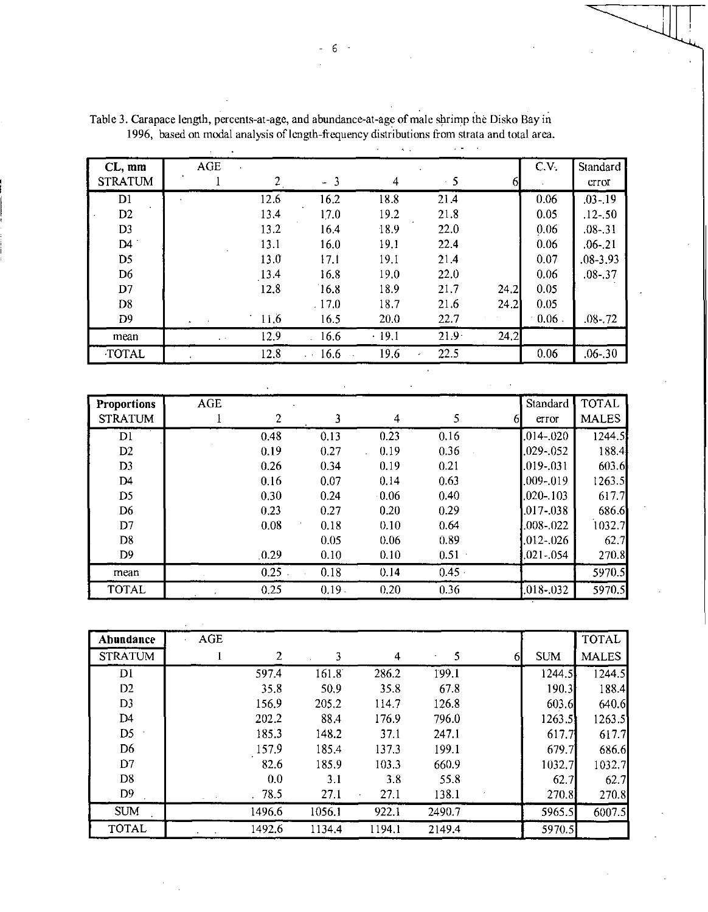|                          |            |      |              | $\sim$<br>$\ddot{\phantom{0}}$ |           |      |      |                   |
|--------------------------|------------|------|--------------|--------------------------------|-----------|------|------|-------------------|
| CL, mm<br><b>STRATUM</b> | <b>AGE</b> | 2    | -3<br>$\sim$ | 4                              | $\cdot$ 5 |      | C.V. | Standard<br>error |
|                          |            |      |              |                                |           |      |      |                   |
| D1                       |            | 12.6 | 16.2         | 18.8                           | 21.4      |      | 0.06 | $.03 - 19$        |
| D <sub>2</sub>           |            | 13.4 | 17.0         | 19.2                           | 21.8      |      | 0.05 | $.12 - .50$       |
| D <sub>3</sub>           |            | 13.2 | 16.4         | 18.9                           | 22.0      |      | 0.06 | $.08 - 31$        |
| D4                       |            | 13.1 | 16.0         | 19.1                           | 22.4      |      | 0.06 | $.06 - 21$        |
| D <sub>5</sub>           |            | 13.0 | 17.1         | 19.1                           | 21.4      |      | 0.07 | $.08 - 3.93$      |
| D6                       |            | 13.4 | 16.8         | 19.0                           | 22.0      |      | 0.06 | $.08 - .37$       |
| D7                       |            | 12.8 | 16.8         | 18.9                           | 21.7      | 24.2 | 0.05 |                   |
| D <sub>8</sub>           |            |      | .17.0        | 18.7                           | 21.6      | 24.2 | 0.05 |                   |
| D9                       |            | 11.6 | 16.5         | 20.0                           | 22.7      |      | 0.06 | $.08 - 72$        |
| mean                     |            | 12.9 | 16.6         | $-19.1$                        | $21.9 -$  | 24.2 |      |                   |
| <b>TOTAL</b>             |            | 12.8 | 166          | 19.6                           | 22.5<br>٠ |      | 0.06 | $.06 - 30$        |

Table 3. Carapace length, percents-at-age, and abundance-at-age of male shrimp the Disko Bay in 1996, based on modal analysis of length-frequency distributions from strata and total area.

| <b>Proportions</b> | AGE |       |       |         |          | Standard        | <b>TOTAL</b> |
|--------------------|-----|-------|-------|---------|----------|-----------------|--------------|
| <b>STRATUM</b>     |     | 2     | 3     | 4       | S        | error<br>61     | <b>MALES</b> |
| D1                 |     | 0.48  | 0.13  | 0.23    | 0.16     | $.014 - .020$   | 1244.5       |
| D <sub>2</sub>     |     | 0.19  | 0.27  | 0.19    | 0.36     | .029-.052       | 188.4        |
| D <sub>3</sub>     |     | 0.26  | 0.34  | 0.19    | 0.21     | $.019 - .031$   | 603.6        |
| D4                 |     | 0.16  | 0.07  | 0.14    | 0.63     | .009-.019       | 1263.5       |
| D <sub>5</sub>     |     | 0.30  | 0.24  | $-0.06$ | 0.40     | $.020 - .103$   | 617.7        |
| D <sub>6</sub>     |     | 0.23  | 0.27  | 0.20    | 0.29     | .017-.038       | 686.6        |
| D7                 |     | 0.08  | 0.18  | 0.10    | 0.64     | .008-.022       | 1032.7       |
| D <sub>8</sub>     |     |       | 0.05  | 0.06    | 0.89     | $.012-.026$     | 62.7         |
| D <sub>9</sub>     |     | .0.29 | 0.10  | 0.10    | $0.51 -$ | $.021 - .054$   | 270.8        |
| mean               |     | 0.25  | 0.18  | 0.14    | 0.45     |                 | 5970.5       |
| <b>TOTAL</b>       |     | 0.25  | 0.19. | 0.20    | 0.36     | $0.018 - 0.032$ | 5970.5       |

| Abundance      | <b>AGE</b> |        |        |        |        |    |            | <b>TOTAL</b> |
|----------------|------------|--------|--------|--------|--------|----|------------|--------------|
| <b>STRATUM</b> |            | 2      |        | 4      | 5      | 61 | <b>SUM</b> | <b>MALES</b> |
| Di             |            | 597.4  | 161.8  | 286.2  | 199.1  |    | 1244.5     | 1244.5       |
| D <sub>2</sub> |            | 35.8   | 50.9   | 35.8   | 67.8   |    | 190.3      | 188.4        |
| D <sub>3</sub> |            | 156.9  | 205.2  | 114.7  | 126.8  |    | 603.6      | 640.6        |
| D <sub>4</sub> |            | 202.2  | 88.4   | 176.9  | 796.0  |    | 1263.5     | 1263.5       |
| D <sub>5</sub> |            | 185.3  | 148.2  | 37.1   | 247.1  |    | 617.7      | 617.7        |
| D <sub>6</sub> |            | 157.9  | 185.4  | 137.3  | 199.1  |    | 679.7      | 686.6        |
| D7             |            | 82.6   | 185.9  | 103.3  | 660.9  |    | 1032.7     | 1032.7       |
| D <sub>8</sub> |            | 0.0    | 3.1    | 3.8    | 55.8   |    | 62.7       | 62.7         |
| D9             |            | .78.5  | 27.1   | 27.1   | 138.1  |    | 270.8      | 270.8        |
| <b>SUM</b>     |            | 1496.6 | 1056.1 | 922.1  | 2490.7 |    | 5965.5     | 6007.5       |
| <b>TOTAL</b>   |            | 1492.6 | 1134.4 | 1194.1 | 2149.4 |    | 5970.5     |              |

 $\sim$ 

- 6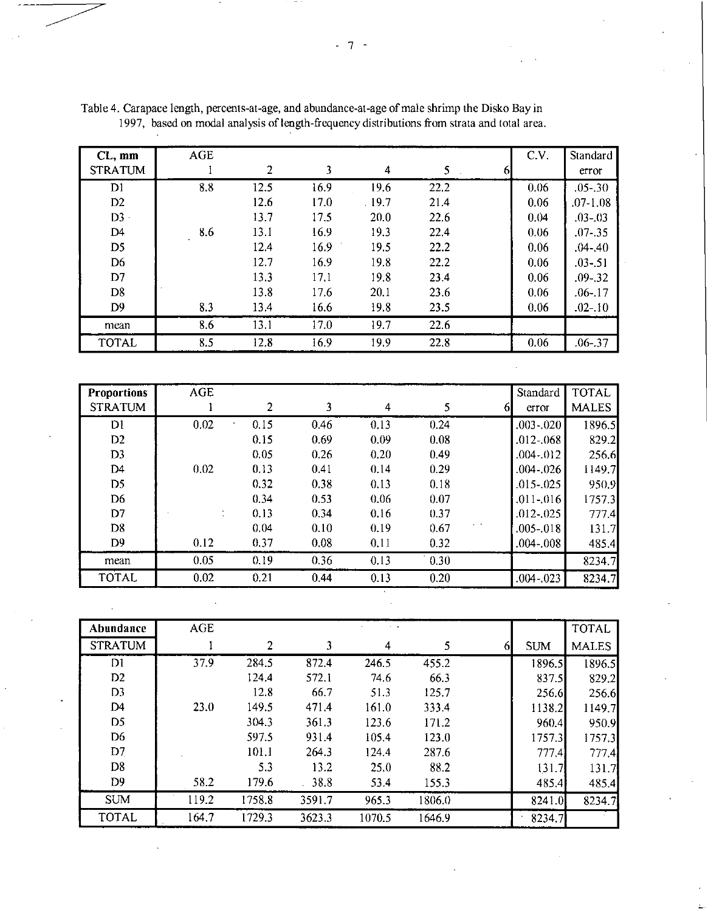| CL, mm         | <b>AGE</b> |      |      |       |      |   | C.V. | Standard    |
|----------------|------------|------|------|-------|------|---|------|-------------|
| <b>STRATUM</b> |            | 2    | 3    | 4     | 5.   | ы |      | error       |
| D1             | 8.8        | 12.5 | 16.9 | 19.6  | 22.2 |   | 0.06 | $.05 - .30$ |
| D2             |            | 12.6 | 17.0 | .19.7 | 21.4 |   | 0.06 | .07-1.08    |
| $D3 -$         |            | 13.7 | 17.5 | 20.0  | 22.6 |   | 0.04 | $.03 - .03$ |
| D4             | 8.6        | 13.1 | 16.9 | 19.3  | 22.4 |   | 0.06 | $.07 - .35$ |
| D <sub>5</sub> |            | 12.4 | 16.9 | 19.5  | 22.2 |   | 0.06 | $.04 - .40$ |
| D <sub>6</sub> |            | 12.7 | 16.9 | 19.8  | 22.2 |   | 0.06 | $.03 - .51$ |
| D7             |            | 13.3 | 17.1 | 19.8  | 23.4 |   | 0.06 | $.09 - 32$  |
| D <sub>8</sub> |            | 13.8 | 17.6 | 20.1  | 23.6 |   | 0.06 | $.06 - .17$ |
| D <sub>9</sub> | 8.3        | 13.4 | 16.6 | 19.8  | 23.5 |   | 0.06 | $.02 - 10$  |
| mean           | 8.6        | 13.1 | 17.0 | 19.7  | 22.6 |   |      |             |
| <b>TOTAL</b>   | 8.5        | 12.8 | 16.9 | 19.9  | 22.8 |   | 0.06 | $.06 - .37$ |

Table 4. Carapace length, percents-at-age, and abundance-at-age of male shrimp the Disko Bay in 1997, based on modal analysis of length-frequency distributions from strata and total area.

| <b>Proportions</b> | <b>AGE</b> |      |      |      |      |   | Standard      | <b>TOTAL</b> |
|--------------------|------------|------|------|------|------|---|---------------|--------------|
| <b>STRATUM</b>     |            | 2    | 3    | 4    |      | ы | error         | <b>MALES</b> |
| D1                 | 0.02       | 0.15 | 0.46 | 0.13 | 0.24 |   | $.003 - .020$ | 1896.5       |
| D2                 |            | 0.15 | 0.69 | 0.09 | 0.08 |   | $.012 - .068$ | 829.2        |
| D <sub>3</sub>     |            | 0.05 | 0.26 | 0.20 | 0.49 |   | $.004 - 012$  | 256.6        |
| D <sub>4</sub>     | 0.02       | 0.13 | 0.41 | 0.14 | 0.29 |   | .004-.026     | 1149.7       |
| D <sub>5</sub>     |            | 0.32 | 0.38 | 0.13 | 0.18 |   | $.015 - .025$ | 950.9        |
| D6                 |            | 0.34 | 0.53 | 0.06 | 0.07 |   | $.011 - .016$ | 1757.3       |
| D7                 |            | 0.13 | 0.34 | 0.16 | 0.37 |   | $.012 - .025$ | 777.4        |
| D <sub>8</sub>     |            | 0.04 | 0.10 | 0.19 | 0.67 |   | $.005 - .018$ | 131.7        |
| D <sub>9</sub>     | 0.12       | 0.37 | 0.08 | 0.11 | 0.32 |   | $.004 - .008$ | 485.4        |
| mean               | 0.05       | 0.19 | 0.36 | 0.13 | 0.30 |   |               | 8234.7       |
| <b>TOTAL</b>       | 0.02       | 0.21 | 0.44 | 0.13 | 0.20 |   | $.004 - .023$ | 8234.7       |

| Abundance      | <b>AGE</b> |        |        | $\sim$ $ \alpha$ |        |   |            | <b>TOTAL</b> |
|----------------|------------|--------|--------|------------------|--------|---|------------|--------------|
| <b>STRATUM</b> |            | 2      | 3      | 4                | 5      | 6 | <b>SUM</b> | <b>MALES</b> |
| DI             | 37.9       | 284.5  | 872.4  | 246.5            | 455.2  |   | 1896.5     | 1896.5       |
| D <sub>2</sub> |            | 124.4  | 572.1  | 74.6             | 66.3   |   | 837.5      | 829.2        |
| D <sub>3</sub> |            | 12.8   | 66.7   | 51.3             | 125.7  |   | 256.6      | 256.6        |
| D4             | 23.0       | 149.5  | 471.4  | 161.0            | 333.4  |   | 1138.2     | 1149.7       |
| D <sub>5</sub> |            | 304.3  | 361.3  | 123.6            | 171.2  |   | 960.4      | 950.9        |
| D6             |            | 597.5  | 931.4  | 105.4            | 123.0  |   | 1757.3     | 1757.3       |
| D7             |            | 101.1  | 264.3  | 124.4            | 287.6  |   | 777.4      | 777.4        |
| D <sub>8</sub> |            | 5.3    | 13.2   | 25.0             | 88.2   |   | 131.7      | 131.7        |
| D <sub>9</sub> | 58.2       | 179.6  | .38.8  | 53.4             | 155.3  |   | 485.4      | 485.4        |
| <b>SUM</b>     | 119.2      | 1758.8 | 3591.7 | 965.3            | 1806.0 |   | 8241.0     | 8234.7       |
| <b>TOTAL</b>   | 164.7      | 1729.3 | 3623.3 | 1070.5           | 1646.9 |   | 8234.7     |              |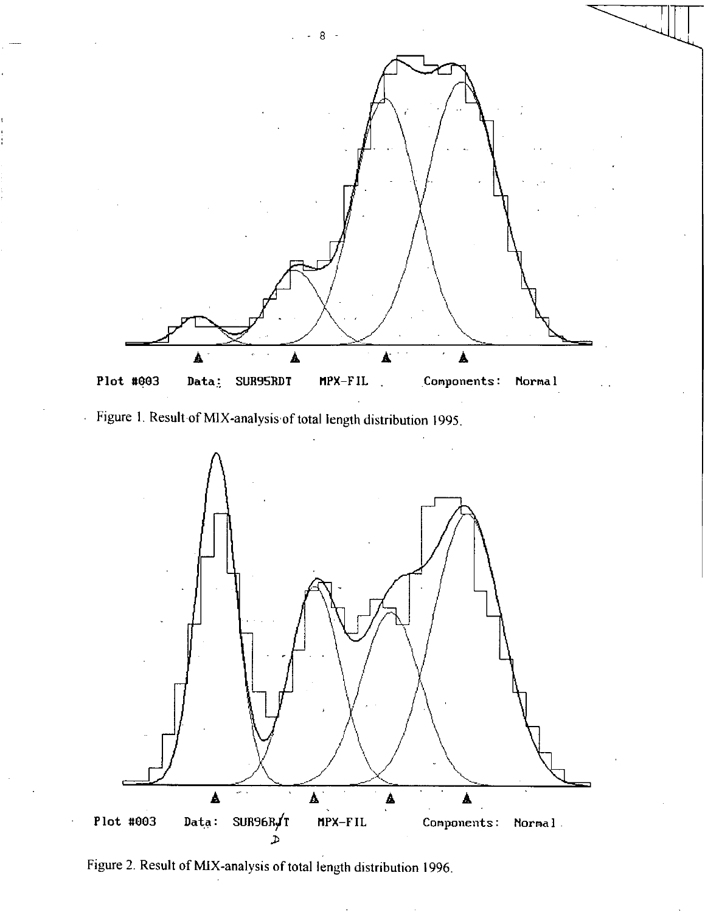

Figure 1. Result of MIX-analysis of total length distribution 1995.



Figure 2. Result of MIX-analysis of total length distribution 1996.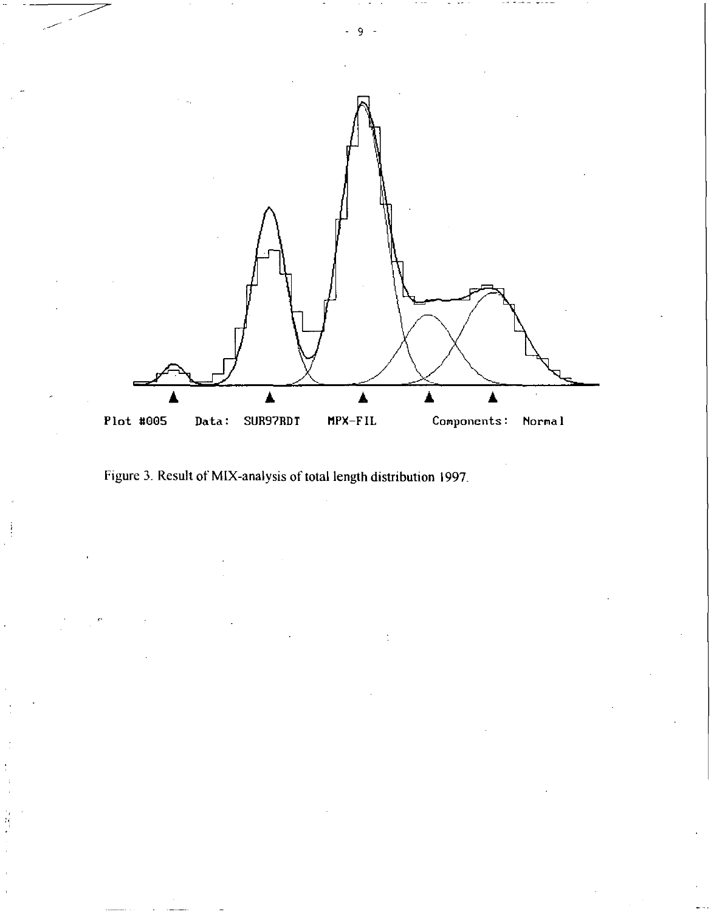

Figure 3. Result of MIX-analysis of total length distribution 1997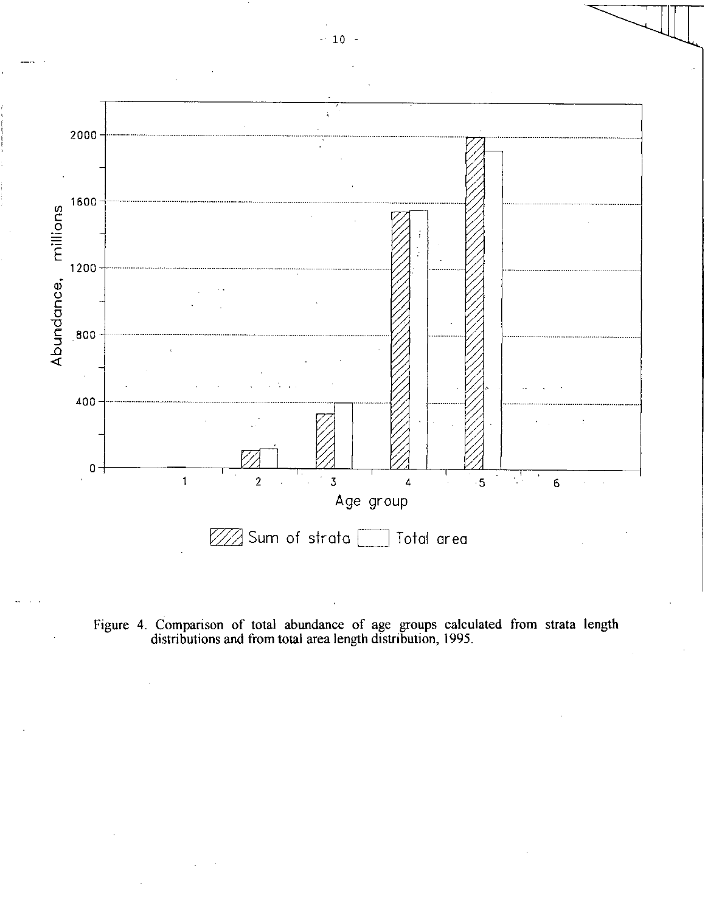

Figure 4. Comparison of total abundance of age groups calculated from strata length distributions and from total area length distribution, 1995.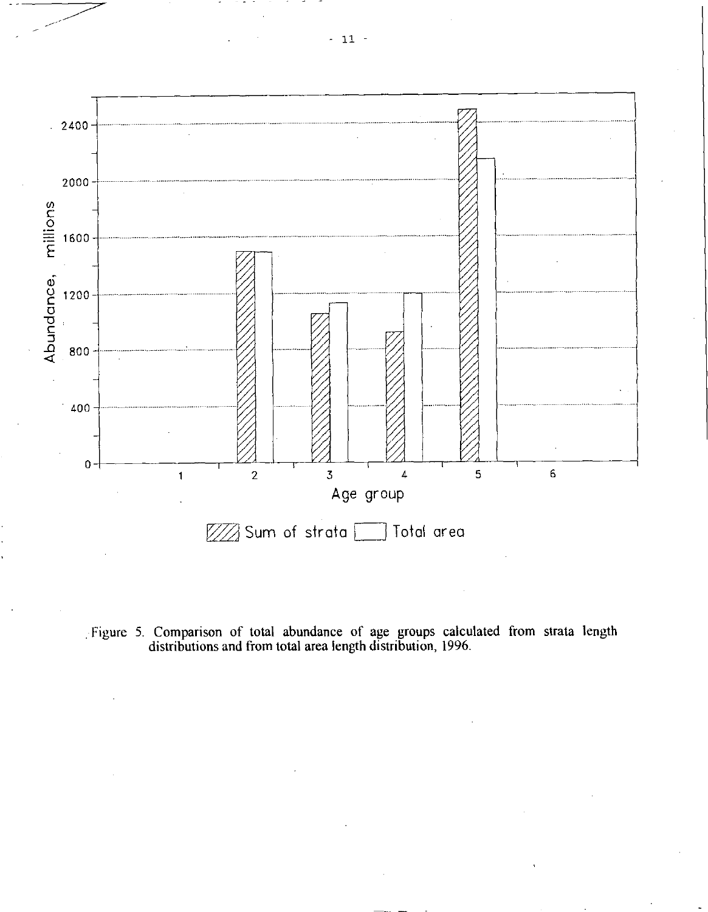

Figure 5. Comparison of total abundance of age groups calculated from strata length distributions and from total area length distribution, 1996.